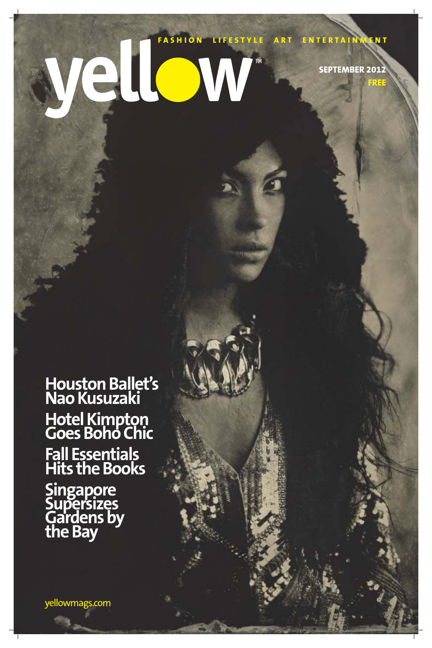# FASHION LIFESTYLE ART ENTERTAINMENT TM **SEPTEMBER 2012 FREE**

**Houston Ballet's Nao Kusuzaki Hotel Kimpton Goes Boho Chic Fall Essentials**

# **Hits the Books Singapore Supersizes Gardens by the Bay**